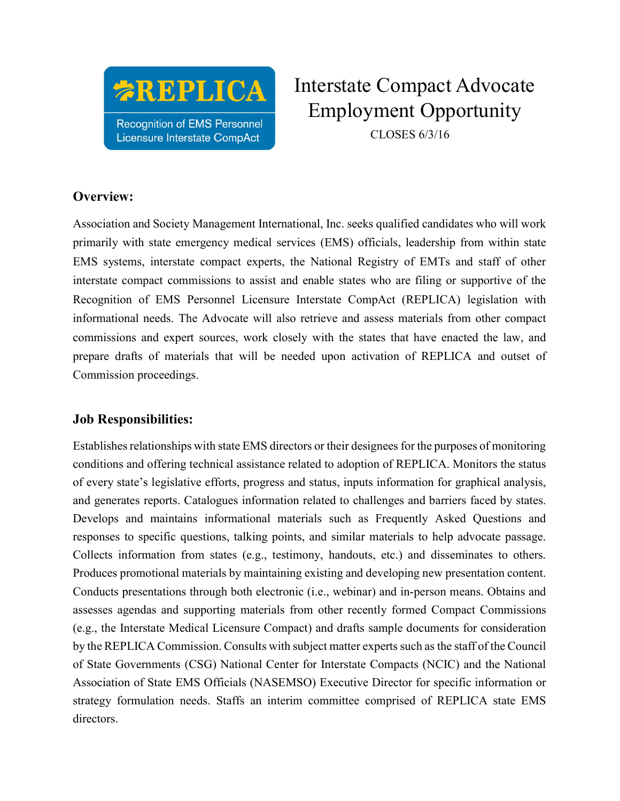

# Interstate Compact Advocate Employment Opportunity

CLOSES 6/3/16

#### Overview:

Association and Society Management International, Inc. seeks qualified candidates who will work primarily with state emergency medical services (EMS) officials, leadership from within state EMS systems, interstate compact experts, the National Registry of EMTs and staff of other interstate compact commissions to assist and enable states who are filing or supportive of the Recognition of EMS Personnel Licensure Interstate CompAct (REPLICA) legislation with informational needs. The Advocate will also retrieve and assess materials from other compact commissions and expert sources, work closely with the states that have enacted the law, and prepare drafts of materials that will be needed upon activation of REPLICA and outset of Commission proceedings.

### Job Responsibilities:

Establishes relationships with state EMS directors or their designees for the purposes of monitoring conditions and offering technical assistance related to adoption of REPLICA. Monitors the status of every state's legislative efforts, progress and status, inputs information for graphical analysis, and generates reports. Catalogues information related to challenges and barriers faced by states. Develops and maintains informational materials such as Frequently Asked Questions and responses to specific questions, talking points, and similar materials to help advocate passage. Collects information from states (e.g., testimony, handouts, etc.) and disseminates to others. Produces promotional materials by maintaining existing and developing new presentation content. Conducts presentations through both electronic (i.e., webinar) and in-person means. Obtains and assesses agendas and supporting materials from other recently formed Compact Commissions (e.g., the Interstate Medical Licensure Compact) and drafts sample documents for consideration by the REPLICA Commission. Consults with subject matter experts such as the staff of the Council of State Governments (CSG) National Center for Interstate Compacts (NCIC) and the National Association of State EMS Officials (NASEMSO) Executive Director for specific information or strategy formulation needs. Staffs an interim committee comprised of REPLICA state EMS directors.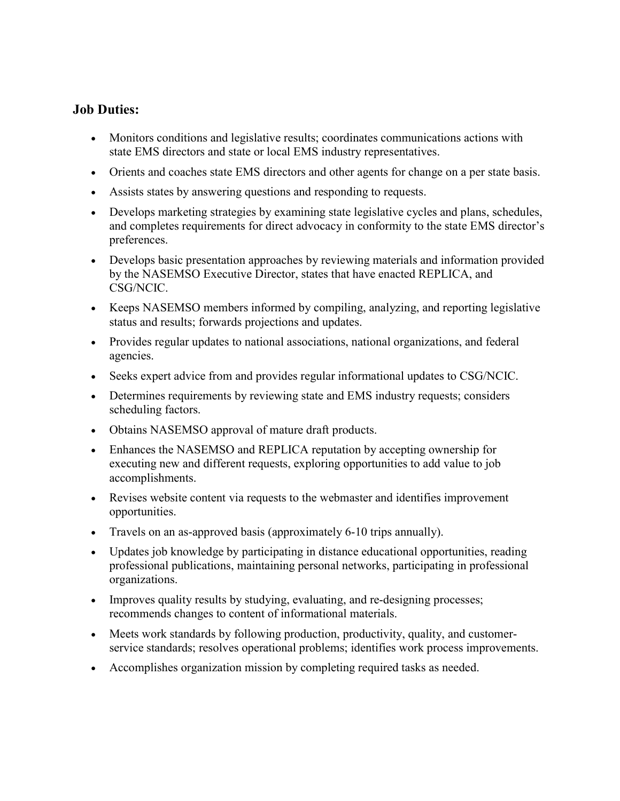#### Job Duties:

- Monitors conditions and legislative results; coordinates communications actions with state EMS directors and state or local EMS industry representatives.
- Orients and coaches state EMS directors and other agents for change on a per state basis.
- Assists states by answering questions and responding to requests.
- Develops marketing strategies by examining state legislative cycles and plans, schedules, and completes requirements for direct advocacy in conformity to the state EMS director's preferences.
- Develops basic presentation approaches by reviewing materials and information provided by the NASEMSO Executive Director, states that have enacted REPLICA, and CSG/NCIC.
- Keeps NASEMSO members informed by compiling, analyzing, and reporting legislative status and results; forwards projections and updates.
- Provides regular updates to national associations, national organizations, and federal agencies.
- Seeks expert advice from and provides regular informational updates to CSG/NCIC.
- Determines requirements by reviewing state and EMS industry requests; considers scheduling factors.
- Obtains NASEMSO approval of mature draft products.
- Enhances the NASEMSO and REPLICA reputation by accepting ownership for executing new and different requests, exploring opportunities to add value to job accomplishments.
- Revises website content via requests to the webmaster and identifies improvement opportunities.
- Travels on an as-approved basis (approximately 6-10 trips annually).
- Updates job knowledge by participating in distance educational opportunities, reading professional publications, maintaining personal networks, participating in professional organizations.
- Improves quality results by studying, evaluating, and re-designing processes; recommends changes to content of informational materials.
- Meets work standards by following production, productivity, quality, and customerservice standards; resolves operational problems; identifies work process improvements.
- Accomplishes organization mission by completing required tasks as needed.